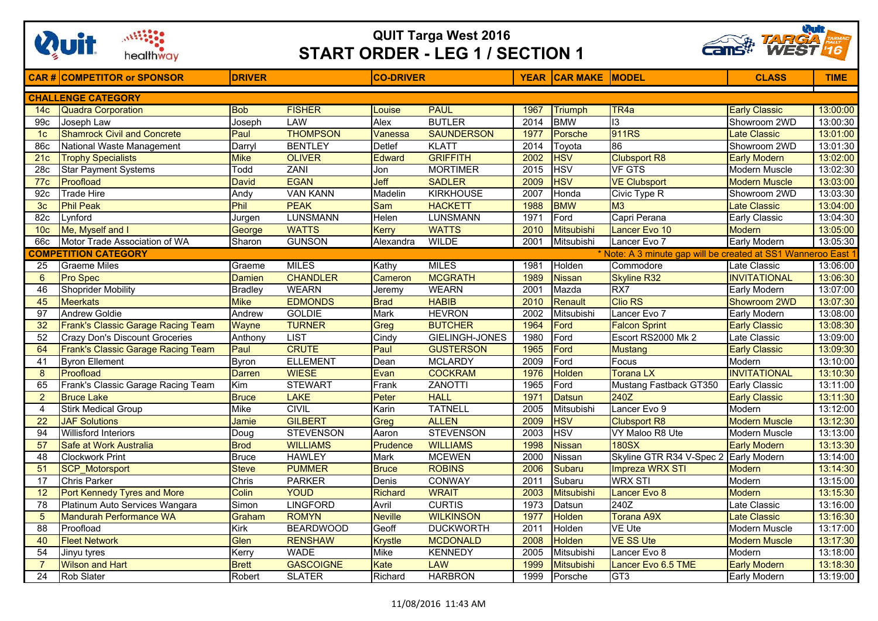

## **QUIT Targa West 2016 START ORDER - LEG 1 / SECTION 1**



|                                                                                            | <b>CAR# COMPETITOR or SPONSOR</b>     | <b>DRIVER</b>           |                  | <b>CO-DRIVER</b> |                   |      | <b>YEAR CAR MAKE MODEL</b> |                          | <b>CLASS</b>         | <b>TIME</b> |  |
|--------------------------------------------------------------------------------------------|---------------------------------------|-------------------------|------------------|------------------|-------------------|------|----------------------------|--------------------------|----------------------|-------------|--|
| <b>CHALLENGE CATEGORY</b>                                                                  |                                       |                         |                  |                  |                   |      |                            |                          |                      |             |  |
| 14 <sub>c</sub>                                                                            | <b>Quadra Corporation</b>             | <b>Bob</b>              | <b>FISHER</b>    | Louise           | <b>PAUL</b>       | 1967 | <b>Triumph</b>             | TR <sub>4a</sub>         | <b>Early Classic</b> | 13:00:00    |  |
| 99c                                                                                        | Joseph Law                            | Joseph                  | LAW              | Alex             | <b>BUTLER</b>     | 2014 | <b>BMW</b>                 | 13                       | Showroom 2WD         | 13:00:30    |  |
| 1 <sub>c</sub>                                                                             | <b>Shamrock Civil and Concrete</b>    | Paul                    | <b>THOMPSON</b>  | Vanessa          | <b>SAUNDERSON</b> | 1977 | Porsche                    | 911RS                    | <b>Late Classic</b>  | 13:01:00    |  |
| 86c                                                                                        | National Waste Management             | Darryl                  | <b>BENTLEY</b>   | Detlef           | <b>KLATT</b>      | 2014 | Toyota                     | 86                       | Showroom 2WD         | 13:01:30    |  |
| 21c                                                                                        | <b>Trophy Specialists</b>             | <b>Mike</b>             | <b>OLIVER</b>    | Edward           | <b>GRIFFITH</b>   | 2002 | <b>HSV</b>                 | <b>Clubsport R8</b>      | <b>Early Modern</b>  | 13:02:00    |  |
| 28c                                                                                        | <b>Star Payment Systems</b>           | Todd                    | <b>ZANI</b>      | Jon              | <b>MORTIMER</b>   | 2015 | <b>HSV</b>                 | <b>VF GTS</b>            | <b>Modern Muscle</b> | 13:02:30    |  |
| 77c                                                                                        | Proofload                             | <b>David</b>            | <b>EGAN</b>      | Jeff             | <b>SADLER</b>     | 2009 | <b>HSV</b>                 | <b>VE Clubsport</b>      | <b>Modern Muscle</b> | 13:03:00    |  |
| 92c                                                                                        | <b>Trade Hire</b>                     | Andy                    | <b>VAN KANN</b>  | Madelin          | <b>KIRKHOUSE</b>  | 2007 | Honda                      | Civic Type R             | Showroom 2WD         | 13:03:30    |  |
| 3 <sub>c</sub>                                                                             | <b>Phil Peak</b>                      | Phil                    | <b>PEAK</b>      | <b>Sam</b>       | <b>HACKETT</b>    | 1988 | <b>BMW</b>                 | M <sub>3</sub>           | <b>Late Classic</b>  | 13:04:00    |  |
| 82c                                                                                        | Lynford                               | Jurgen                  | <b>LUNSMANN</b>  | Helen            | <b>LUNSMANN</b>   | 1971 | Ford                       | Capri Perana             | Early Classic        | 13:04:30    |  |
| 10 <sub>c</sub>                                                                            | Me, Myself and I                      | George                  | <b>WATTS</b>     | Kerry            | <b>WATTS</b>      | 2010 | <b>Mitsubishi</b>          | Lancer Evo 10            | <b>Modern</b>        | 13:05:00    |  |
| 66c                                                                                        | Motor Trade Association of WA         | Sharon                  | <b>GUNSON</b>    | Alexandra        | <b>WILDE</b>      | 2001 | Mitsubishi                 | Lancer Evo 7             | <b>Early Modern</b>  | 13:05:30    |  |
| <b>COMPETITION CATEGORY</b><br>* Note: A 3 minute gap will be created at SS1 Wanneroo East |                                       |                         |                  |                  |                   |      |                            |                          |                      |             |  |
| 25                                                                                         | <b>Graeme Miles</b>                   | Graeme                  | <b>MILES</b>     | Kathy            | <b>MILES</b>      | 1981 | Holden                     | Commodore                | Late Classic         | 13:06:00    |  |
| 6                                                                                          | Pro Spec                              | <b>Damien</b>           | <b>CHANDLER</b>  | Cameron          | <b>MCGRATH</b>    | 1989 | <b>Nissan</b>              | <b>Skyline R32</b>       | <b>INVITATIONAL</b>  | 13:06:30    |  |
| 46                                                                                         | <b>Shoprider Mobility</b>             | <b>Bradley</b>          | <b>WEARN</b>     | Jeremy           | <b>WEARN</b>      | 2001 | Mazda                      | RX <sub>7</sub>          | Early Modern         | 13:07:00    |  |
| 45                                                                                         | <b>Meerkats</b>                       | <b>Mike</b>             | <b>EDMONDS</b>   | <b>Brad</b>      | <b>HABIB</b>      | 2010 | Renault                    | <b>Clio RS</b>           | Showroom 2WD         | 13:07:30    |  |
| 97                                                                                         | <b>Andrew Goldie</b>                  | Andrew                  | <b>GOLDIE</b>    | <b>Mark</b>      | <b>HEVRON</b>     | 2002 | Mitsubishi                 | Lancer Evo 7             | Early Modern         | 13:08:00    |  |
| 32                                                                                         | Frank's Classic Garage Racing Team    | Wayne                   | <b>TURNER</b>    | Greg             | <b>BUTCHER</b>    | 1964 | Ford                       | <b>Falcon Sprint</b>     | <b>Early Classic</b> | 13:08:30    |  |
| 52                                                                                         | <b>Crazy Don's Discount Groceries</b> | Anthony                 | <b>LIST</b>      | Cindy            | GIELINGH-JONES    | 1980 | Ford                       | Escort RS2000 Mk 2       | Late Classic         | 13:09:00    |  |
| 64                                                                                         | Frank's Classic Garage Racing Team    | Paul                    | <b>CRUTE</b>     | Paul             | <b>GUSTERSON</b>  | 1965 | Ford                       | <b>Mustang</b>           | <b>Early Classic</b> | 13:09:30    |  |
| 41                                                                                         | <b>Byron Ellement</b>                 | <b>Byron</b>            | <b>ELLEMENT</b>  | Dean             | <b>MCLARDY</b>    | 2009 | Ford                       | Focus                    | Modern               | 13:10:00    |  |
| 8                                                                                          | Proofload                             | <b>Darren</b>           | <b>WIESE</b>     | Evan             | <b>COCKRAM</b>    | 1976 | Holden                     | Torana LX                | <b>INVITATIONAL</b>  | 13:10:30    |  |
| 65                                                                                         | Frank's Classic Garage Racing Team    | $\overline{\text{Kim}}$ | <b>STEWART</b>   | Frank            | <b>ZANOTTI</b>    | 1965 | Ford                       | Mustang Fastback GT350   | <b>Early Classic</b> | 13:11:00    |  |
| $\overline{2}$                                                                             | <b>Bruce Lake</b>                     | <b>Bruce</b>            | <b>LAKE</b>      | Peter            | <b>HALL</b>       | 1971 | <b>Datsun</b>              | 240Z                     | <b>Early Classic</b> | 13:11:30    |  |
| 4                                                                                          | <b>Stirk Medical Group</b>            | Mike                    | <b>CIVIL</b>     | Karin            | <b>TATNELL</b>    | 2005 | Mitsubishi                 | Lancer Evo 9             | Modern               | 13:12:00    |  |
| 22                                                                                         | <b>JAF Solutions</b>                  | Jamie                   | <b>GILBERT</b>   | Greg             | <b>ALLEN</b>      | 2009 | <b>HSV</b>                 | <b>Clubsport R8</b>      | <b>Modern Muscle</b> | 13:12:30    |  |
| 94                                                                                         | <b>Willisford Interiors</b>           | Doug                    | <b>STEVENSON</b> | Aaron            | <b>STEVENSON</b>  | 2003 | <b>HSV</b>                 | VY Maloo R8 Ute          | Modern Muscle        | 13:13:00    |  |
| 57                                                                                         | Safe at Work Australia                | <b>Brod</b>             | <b>WILLIAMS</b>  | Prudence         | <b>WILLIAMS</b>   | 1998 | <b>Nissan</b>              | <b>180SX</b>             | <b>Early Modern</b>  | 13:13:30    |  |
| 48                                                                                         | <b>Clockwork Print</b>                | <b>Bruce</b>            | <b>HAWLEY</b>    | Mark             | <b>MCEWEN</b>     | 2000 | Nissan                     | Skyline GTR R34 V-Spec 2 | <b>Early Modern</b>  | 13:14:00    |  |
| 51                                                                                         | <b>SCP_Motorsport</b>                 | <b>Steve</b>            | <b>PUMMER</b>    | <b>Bruce</b>     | <b>ROBINS</b>     | 2006 | Subaru                     | Impreza WRX STI          | <b>Modern</b>        | 13:14:30    |  |
| $\overline{17}$                                                                            | <b>Chris Parker</b>                   | Chris                   | <b>PARKER</b>    | Denis            | <b>CONWAY</b>     | 2011 | Subaru                     | <b>WRX STI</b>           | Modern               | 13:15:00    |  |
| $\overline{12}$                                                                            | <b>Port Kennedy Tyres and More</b>    | Colin                   | <b>YOUD</b>      | Richard          | <b>WRAIT</b>      | 2003 | <b>Mitsubishi</b>          | Lancer Evo 8             | <b>Modern</b>        | 13:15:30    |  |
| 78                                                                                         | Platinum Auto Services Wangara        | Simon                   | <b>LINGFORD</b>  | Avril            | <b>CURTIS</b>     | 1973 | Datsun                     | 240Z                     | Late Classic         | 13:16:00    |  |
| 5                                                                                          | <b>Mandurah Performance WA</b>        | Graham                  | <b>ROMYN</b>     | <b>Neville</b>   | <b>WILKINSON</b>  | 1977 | Holden                     | <b>Torana A9X</b>        | <b>Late Classic</b>  | 13:16:30    |  |
| 88                                                                                         | Proofload                             | Kirk                    | <b>BEARDWOOD</b> | Geoff            | <b>DUCKWORTH</b>  | 2011 | Holden                     | <b>VE Ute</b>            | Modern Muscle        | 13:17:00    |  |
| 40                                                                                         | <b>Fleet Network</b>                  | Glen                    | <b>RENSHAW</b>   | <b>Krystle</b>   | <b>MCDONALD</b>   | 2008 | Holden                     | <b>VE SS Ute</b>         | <b>Modern Muscle</b> | 13:17:30    |  |
| 54                                                                                         | Jinyu tyres                           | Kerry                   | <b>WADE</b>      | <b>Mike</b>      | <b>KENNEDY</b>    | 2005 | Mitsubishi                 | Lancer Evo 8             | Modern               | 13:18:00    |  |
|                                                                                            | <b>Wilson and Hart</b>                | <b>Brett</b>            | <b>GASCOIGNE</b> | Kate             | <b>LAW</b>        | 1999 | <b>Mitsubishi</b>          | Lancer Evo 6.5 TME       | <b>Early Modern</b>  | 13:18:30    |  |
| 24                                                                                         | Rob Slater                            | Robert                  | <b>SLATER</b>    | Richard          | <b>HARBRON</b>    | 1999 | Porsche                    | GT <sub>3</sub>          | Early Modern         | 13:19:00    |  |